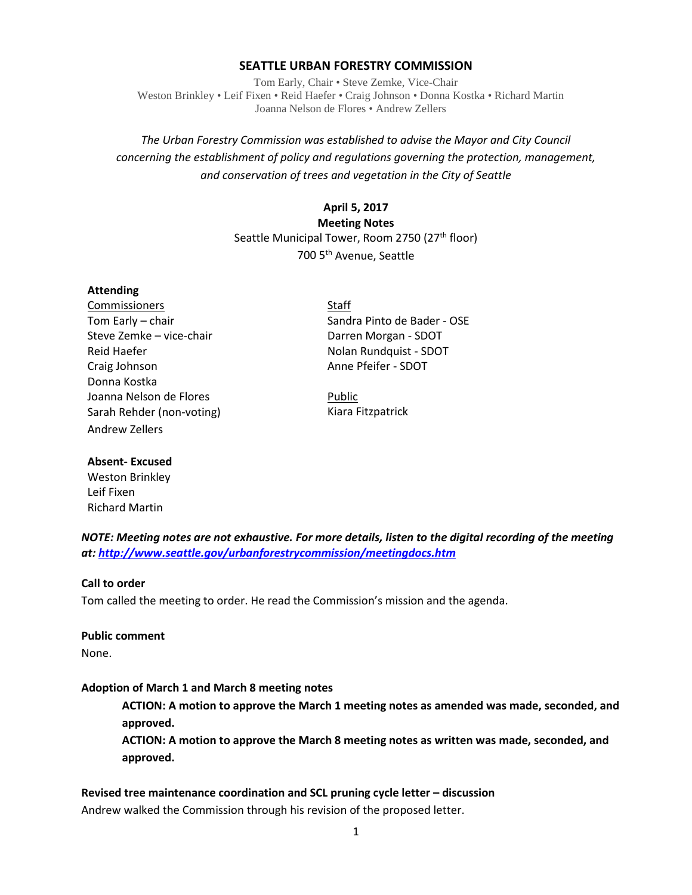### **SEATTLE URBAN FORESTRY COMMISSION**

Tom Early, Chair • Steve Zemke, Vice-Chair Weston Brinkley • Leif Fixen • Reid Haefer • Craig Johnson • Donna Kostka • Richard Martin Joanna Nelson de Flores • Andrew Zellers

# *The Urban Forestry Commission was established to advise the Mayor and City Council concerning the establishment of policy and regulations governing the protection, management, and conservation of trees and vegetation in the City of Seattle*

### **April 5, 2017**

**Meeting Notes** Seattle Municipal Tower, Room 2750 (27<sup>th</sup> floor) 700 5th Avenue, Seattle

### **Attending**

Commissioners Staff Steve Zemke – vice-chair Darren Morgan - SDOT Reid Haefer Nolan Rundquist - SDOT Craig Johnson **Anne Pfeifer - SDOT** Donna Kostka Joanna Nelson de Flores **Public** Sarah Rehder (non-voting) Kiara Fitzpatrick Andrew Zellers

Tom Early – chair Sandra Pinto de Bader - OSE

### **Absent- Excused**

Weston Brinkley Leif Fixen Richard Martin

*NOTE: Meeting notes are not exhaustive. For more details, listen to the digital recording of the meeting at:<http://www.seattle.gov/urbanforestrycommission/meetingdocs.htm>*

### **Call to order**

Tom called the meeting to order. He read the Commission's mission and the agenda.

### **Public comment**

None.

### **Adoption of March 1 and March 8 meeting notes**

**ACTION: A motion to approve the March 1 meeting notes as amended was made, seconded, and approved.**

**ACTION: A motion to approve the March 8 meeting notes as written was made, seconded, and approved.**

# **Revised tree maintenance coordination and SCL pruning cycle letter – discussion**

Andrew walked the Commission through his revision of the proposed letter.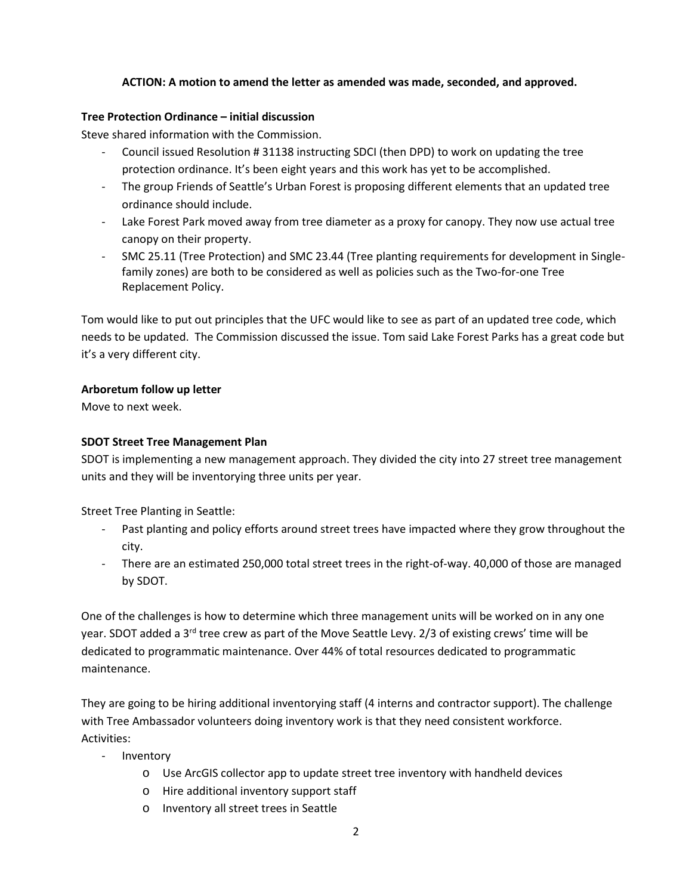### **ACTION: A motion to amend the letter as amended was made, seconded, and approved.**

### **Tree Protection Ordinance – initial discussion**

Steve shared information with the Commission.

- Council issued Resolution # 31138 instructing SDCI (then DPD) to work on updating the tree protection ordinance. It's been eight years and this work has yet to be accomplished.
- The group Friends of Seattle's Urban Forest is proposing different elements that an updated tree ordinance should include.
- Lake Forest Park moved away from tree diameter as a proxy for canopy. They now use actual tree canopy on their property.
- SMC 25.11 (Tree Protection) and SMC 23.44 (Tree planting requirements for development in Singlefamily zones) are both to be considered as well as policies such as the Two-for-one Tree Replacement Policy.

Tom would like to put out principles that the UFC would like to see as part of an updated tree code, which needs to be updated. The Commission discussed the issue. Tom said Lake Forest Parks has a great code but it's a very different city.

# **Arboretum follow up letter**

Move to next week.

# **SDOT Street Tree Management Plan**

SDOT is implementing a new management approach. They divided the city into 27 street tree management units and they will be inventorying three units per year.

Street Tree Planting in Seattle:

- Past planting and policy efforts around street trees have impacted where they grow throughout the city.
- There are an estimated 250,000 total street trees in the right-of-way. 40,000 of those are managed by SDOT.

One of the challenges is how to determine which three management units will be worked on in any one year. SDOT added a 3<sup>rd</sup> tree crew as part of the Move Seattle Levy. 2/3 of existing crews' time will be dedicated to programmatic maintenance. Over 44% of total resources dedicated to programmatic maintenance.

They are going to be hiring additional inventorying staff (4 interns and contractor support). The challenge with Tree Ambassador volunteers doing inventory work is that they need consistent workforce. Activities:

- Inventory
	- o Use ArcGIS collector app to update street tree inventory with handheld devices
	- o Hire additional inventory support staff
	- o Inventory all street trees in Seattle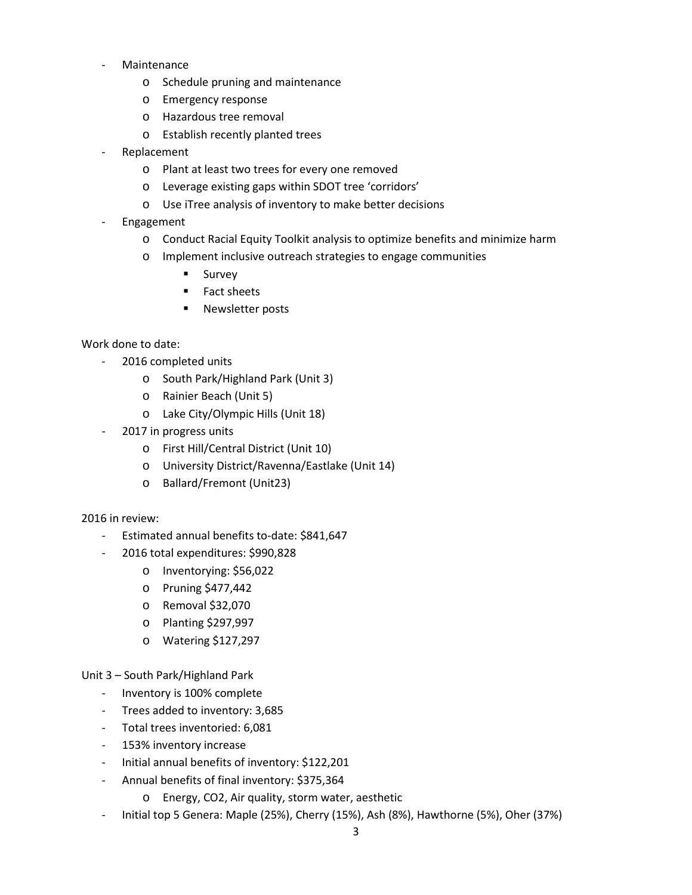- **Maintenance** 
	- o Schedule pruning and maintenance
	- o Emergency response
	- o Hazardous tree removal
	- o Establish recently planted trees
- Replacement
	- o Plant at least two trees for every one removed
	- o Leverage existing gaps within SDOT tree 'corridors'
	- o Use iTree analysis of inventory to make better decisions
- Engagement
	- o Conduct Racial Equity Toolkit analysis to optimize benefits and minimize harm
	- o Implement inclusive outreach strategies to engage communities
		- **Survey**
		- **Fact sheets**
		- **Newsletter posts**

### Work done to date:

- 2016 completed units
	- o South Park/Highland Park (Unit 3)
	- o Rainier Beach (Unit 5)
	- o Lake City/Olympic Hills (Unit 18)
- 2017 in progress units
	- o First Hill/Central District (Unit 10)
	- o University District/Ravenna/Eastlake (Unit 14)
	- o Ballard/Fremont (Unit23)

### 2016 in review:

- Estimated annual benefits to-date: \$841,647
- 2016 total expenditures: \$990,828
	- o Inventorying: \$56,022
	- o Pruning \$477,442
	- o Removal \$32,070
	- o Planting \$297,997
	- o Watering \$127,297

### Unit 3 – South Park/Highland Park

- Inventory is 100% complete
- Trees added to inventory: 3,685
- Total trees inventoried: 6,081
- 153% inventory increase
- Initial annual benefits of inventory: \$122,201
- Annual benefits of final inventory: \$375,364
	- o Energy, CO2, Air quality, storm water, aesthetic
- Initial top 5 Genera: Maple (25%), Cherry (15%), Ash (8%), Hawthorne (5%), Oher (37%)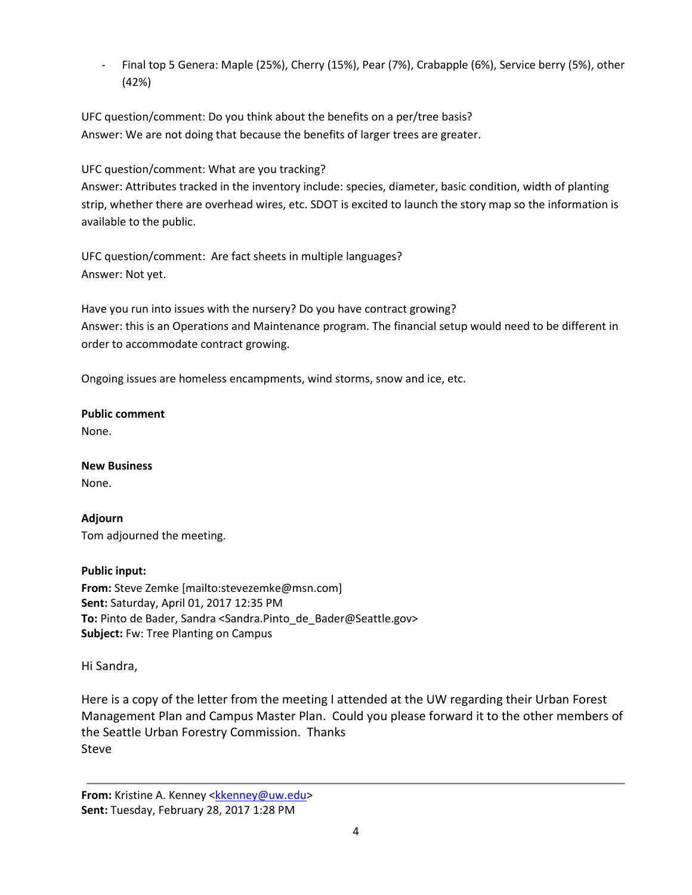- Final top 5 Genera: Maple (25%), Cherry (15%), Pear (7%), Crabapple (6%), Service berry (5%), other (42%)

UFC question/comment: Do you think about the benefits on a per/tree basis? Answer: We are not doing that because the benefits of larger trees are greater.

UFC question/comment: What are you tracking?

Answer: Attributes tracked in the inventory include: species, diameter, basic condition, width of planting strip, whether there are overhead wires, etc. SDOT is excited to launch the story map so the information is available to the public.

UFC question/comment: Are fact sheets in multiple languages? Answer: Not yet.

Have you run into issues with the nursery? Do you have contract growing? Answer: this is an Operations and Maintenance program. The financial setup would need to be different in order to accommodate contract growing.

Ongoing issues are homeless encampments, wind storms, snow and ice, etc.

**Public comment**

None.

**New Business**

None.

**Adjourn** Tom adjourned the meeting.

# **Public input:**

**From:** Steve Zemke [mailto:stevezemke@msn.com] **Sent:** Saturday, April 01, 2017 12:35 PM **To:** Pinto de Bader, Sandra <Sandra.Pinto\_de\_Bader@Seattle.gov> **Subject:** Fw: Tree Planting on Campus

Hi Sandra,

Here is a copy of the letter from the meeting I attended at the UW regarding their Urban Forest Management Plan and Campus Master Plan. Could you please forward it to the other members of the Seattle Urban Forestry Commission. Thanks Steve

**From:** Kristine A. Kenney <**kkenney@uw.edu> Sent:** Tuesday, February 28, 2017 1:28 PM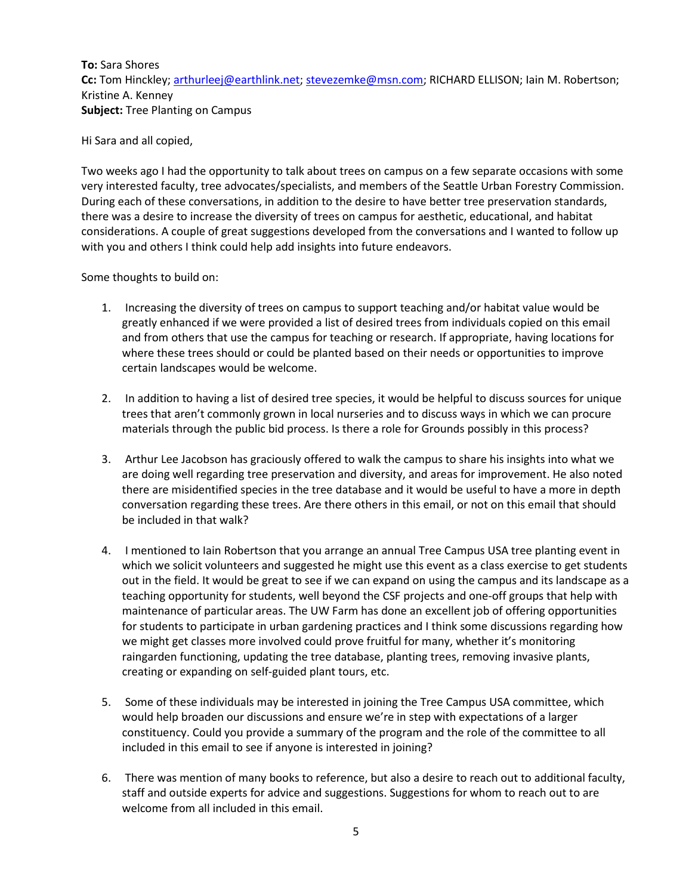**To:** Sara Shores **Cc:** Tom Hinckley[; arthurleej@earthlink.net;](mailto:arthurleej@earthlink.net) [stevezemke@msn.com;](mailto:stevezemke@msn.com) RICHARD ELLISON; Iain M. Robertson; Kristine A. Kenney **Subject:** Tree Planting on Campus

Hi Sara and all copied,

Two weeks ago I had the opportunity to talk about trees on campus on a few separate occasions with some very interested faculty, tree advocates/specialists, and members of the Seattle Urban Forestry Commission. During each of these conversations, in addition to the desire to have better tree preservation standards, there was a desire to increase the diversity of trees on campus for aesthetic, educational, and habitat considerations. A couple of great suggestions developed from the conversations and I wanted to follow up with you and others I think could help add insights into future endeavors.

Some thoughts to build on:

- 1. Increasing the diversity of trees on campus to support teaching and/or habitat value would be greatly enhanced if we were provided a list of desired trees from individuals copied on this email and from others that use the campus for teaching or research. If appropriate, having locations for where these trees should or could be planted based on their needs or opportunities to improve certain landscapes would be welcome.
- 2. In addition to having a list of desired tree species, it would be helpful to discuss sources for unique trees that aren't commonly grown in local nurseries and to discuss ways in which we can procure materials through the public bid process. Is there a role for Grounds possibly in this process?
- 3. Arthur Lee Jacobson has graciously offered to walk the campus to share his insights into what we are doing well regarding tree preservation and diversity, and areas for improvement. He also noted there are misidentified species in the tree database and it would be useful to have a more in depth conversation regarding these trees. Are there others in this email, or not on this email that should be included in that walk?
- 4. I mentioned to Iain Robertson that you arrange an annual Tree Campus USA tree planting event in which we solicit volunteers and suggested he might use this event as a class exercise to get students out in the field. It would be great to see if we can expand on using the campus and its landscape as a teaching opportunity for students, well beyond the CSF projects and one-off groups that help with maintenance of particular areas. The UW Farm has done an excellent job of offering opportunities for students to participate in urban gardening practices and I think some discussions regarding how we might get classes more involved could prove fruitful for many, whether it's monitoring raingarden functioning, updating the tree database, planting trees, removing invasive plants, creating or expanding on self-guided plant tours, etc.
- 5. Some of these individuals may be interested in joining the Tree Campus USA committee, which would help broaden our discussions and ensure we're in step with expectations of a larger constituency. Could you provide a summary of the program and the role of the committee to all included in this email to see if anyone is interested in joining?
- 6. There was mention of many books to reference, but also a desire to reach out to additional faculty, staff and outside experts for advice and suggestions. Suggestions for whom to reach out to are welcome from all included in this email.